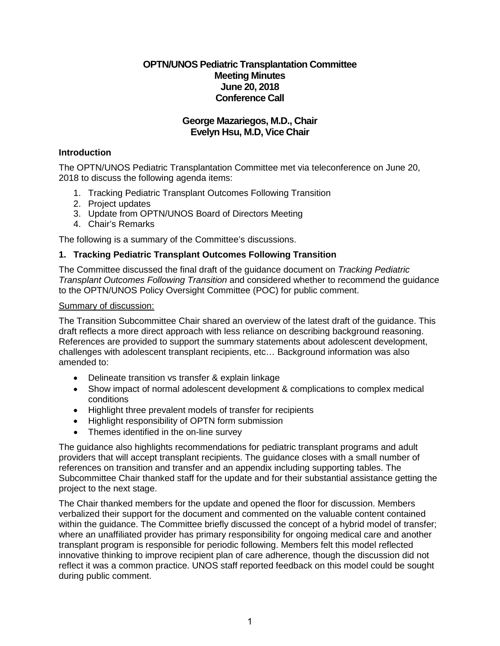## **OPTN/UNOS Pediatric Transplantation Committee Meeting Minutes June 20, 2018 Conference Call**

# **George Mazariegos, M.D., Chair Evelyn Hsu, M.D, Vice Chair**

## **Introduction**

The OPTN/UNOS Pediatric Transplantation Committee met via teleconference on June 20, 2018 to discuss the following agenda items:

- 1. Tracking Pediatric Transplant Outcomes Following Transition
- 2. Project updates
- 3. Update from OPTN/UNOS Board of Directors Meeting
- 4. Chair's Remarks

The following is a summary of the Committee's discussions.

## **1. Tracking Pediatric Transplant Outcomes Following Transition**

The Committee discussed the final draft of the guidance document on *Tracking Pediatric Transplant Outcomes Following Transition* and considered whether to recommend the guidance to the OPTN/UNOS Policy Oversight Committee (POC) for public comment.

#### Summary of discussion:

The Transition Subcommittee Chair shared an overview of the latest draft of the guidance. This draft reflects a more direct approach with less reliance on describing background reasoning. References are provided to support the summary statements about adolescent development, challenges with adolescent transplant recipients, etc… Background information was also amended to:

- Delineate transition vs transfer & explain linkage
- Show impact of normal adolescent development & complications to complex medical conditions
- Highlight three prevalent models of transfer for recipients
- Highlight responsibility of OPTN form submission
- Themes identified in the on-line survey

The guidance also highlights recommendations for pediatric transplant programs and adult providers that will accept transplant recipients. The guidance closes with a small number of references on transition and transfer and an appendix including supporting tables. The Subcommittee Chair thanked staff for the update and for their substantial assistance getting the project to the next stage.

The Chair thanked members for the update and opened the floor for discussion. Members verbalized their support for the document and commented on the valuable content contained within the guidance. The Committee briefly discussed the concept of a hybrid model of transfer; where an unaffiliated provider has primary responsibility for ongoing medical care and another transplant program is responsible for periodic following. Members felt this model reflected innovative thinking to improve recipient plan of care adherence, though the discussion did not reflect it was a common practice. UNOS staff reported feedback on this model could be sought during public comment.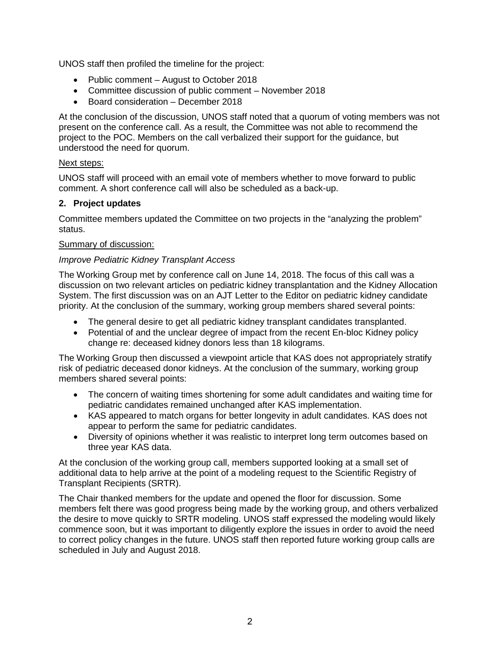UNOS staff then profiled the timeline for the project:

- Public comment August to October 2018
- Committee discussion of public comment November 2018
- Board consideration December 2018

At the conclusion of the discussion, UNOS staff noted that a quorum of voting members was not present on the conference call. As a result, the Committee was not able to recommend the project to the POC. Members on the call verbalized their support for the guidance, but understood the need for quorum.

## Next steps:

UNOS staff will proceed with an email vote of members whether to move forward to public comment. A short conference call will also be scheduled as a back-up.

## **2. Project updates**

Committee members updated the Committee on two projects in the "analyzing the problem" status.

#### Summary of discussion:

## *Improve Pediatric Kidney Transplant Access*

The Working Group met by conference call on June 14, 2018. The focus of this call was a discussion on two relevant articles on pediatric kidney transplantation and the Kidney Allocation System. The first discussion was on an AJT Letter to the Editor on pediatric kidney candidate priority. At the conclusion of the summary, working group members shared several points:

- The general desire to get all pediatric kidney transplant candidates transplanted.
- Potential of and the unclear degree of impact from the recent En-bloc Kidney policy change re: deceased kidney donors less than 18 kilograms.

The Working Group then discussed a viewpoint article that KAS does not appropriately stratify risk of pediatric deceased donor kidneys. At the conclusion of the summary, working group members shared several points:

- The concern of waiting times shortening for some adult candidates and waiting time for pediatric candidates remained unchanged after KAS implementation.
- KAS appeared to match organs for better longevity in adult candidates. KAS does not appear to perform the same for pediatric candidates.
- Diversity of opinions whether it was realistic to interpret long term outcomes based on three year KAS data.

At the conclusion of the working group call, members supported looking at a small set of additional data to help arrive at the point of a modeling request to the Scientific Registry of Transplant Recipients (SRTR).

The Chair thanked members for the update and opened the floor for discussion. Some members felt there was good progress being made by the working group, and others verbalized the desire to move quickly to SRTR modeling. UNOS staff expressed the modeling would likely commence soon, but it was important to diligently explore the issues in order to avoid the need to correct policy changes in the future. UNOS staff then reported future working group calls are scheduled in July and August 2018.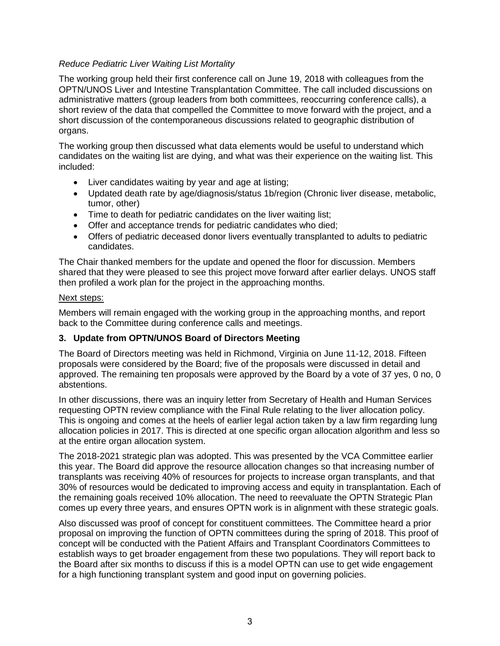## *Reduce Pediatric Liver Waiting List Mortality*

The working group held their first conference call on June 19, 2018 with colleagues from the OPTN/UNOS Liver and Intestine Transplantation Committee. The call included discussions on administrative matters (group leaders from both committees, reoccurring conference calls), a short review of the data that compelled the Committee to move forward with the project, and a short discussion of the contemporaneous discussions related to geographic distribution of organs.

The working group then discussed what data elements would be useful to understand which candidates on the waiting list are dying, and what was their experience on the waiting list. This included:

- Liver candidates waiting by year and age at listing;
- Updated death rate by age/diagnosis/status 1b/region (Chronic liver disease, metabolic, tumor, other)
- Time to death for pediatric candidates on the liver waiting list;
- Offer and acceptance trends for pediatric candidates who died;
- Offers of pediatric deceased donor livers eventually transplanted to adults to pediatric candidates.

The Chair thanked members for the update and opened the floor for discussion. Members shared that they were pleased to see this project move forward after earlier delays. UNOS staff then profiled a work plan for the project in the approaching months.

#### Next steps:

Members will remain engaged with the working group in the approaching months, and report back to the Committee during conference calls and meetings.

## **3. Update from OPTN/UNOS Board of Directors Meeting**

The Board of Directors meeting was held in Richmond, Virginia on June 11-12, 2018. Fifteen proposals were considered by the Board; five of the proposals were discussed in detail and approved. The remaining ten proposals were approved by the Board by a vote of 37 yes, 0 no, 0 abstentions.

In other discussions, there was an inquiry letter from Secretary of Health and Human Services requesting OPTN review compliance with the Final Rule relating to the liver allocation policy. This is ongoing and comes at the heels of earlier legal action taken by a law firm regarding lung allocation policies in 2017. This is directed at one specific organ allocation algorithm and less so at the entire organ allocation system.

The 2018-2021 strategic plan was adopted. This was presented by the VCA Committee earlier this year. The Board did approve the resource allocation changes so that increasing number of transplants was receiving 40% of resources for projects to increase organ transplants, and that 30% of resources would be dedicated to improving access and equity in transplantation. Each of the remaining goals received 10% allocation. The need to reevaluate the OPTN Strategic Plan comes up every three years, and ensures OPTN work is in alignment with these strategic goals.

Also discussed was proof of concept for constituent committees. The Committee heard a prior proposal on improving the function of OPTN committees during the spring of 2018. This proof of concept will be conducted with the Patient Affairs and Transplant Coordinators Committees to establish ways to get broader engagement from these two populations. They will report back to the Board after six months to discuss if this is a model OPTN can use to get wide engagement for a high functioning transplant system and good input on governing policies.